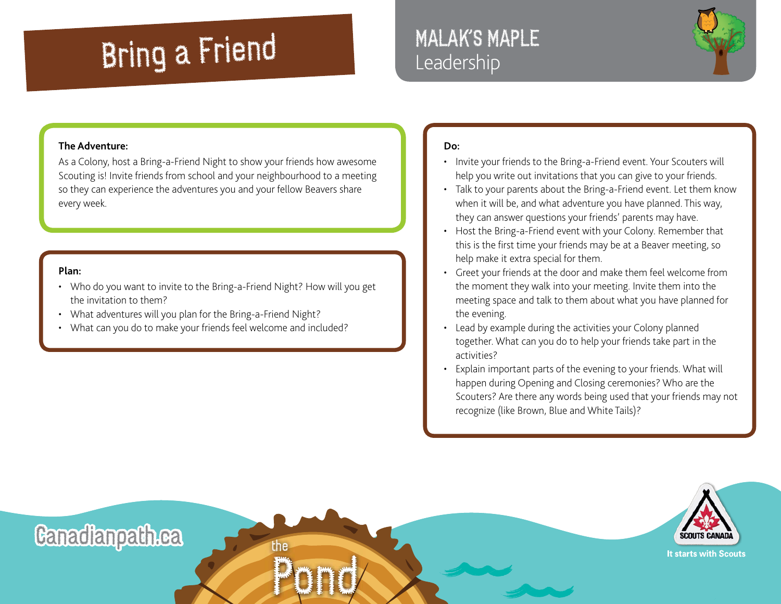## Bring a Friend

### MALAK'S MAPLE Leadership



#### **The Adventure:**

As a Colony, host a Bring-a-Friend Night to show your friends how awesome Scouting is! Invite friends from school and your neighbourhood to a meeting so they can experience the adventures you and your fellow Beavers share every week.

#### **Plan:**

- Who do you want to invite to the Bring-a-Friend Night? How will you get the invitation to them?
- What adventures will you plan for the Bring-a-Friend Night?
- What can you do to make your friends feel welcome and included?

#### **Do:**

- Invite your friends to the Bring-a-Friend event. Your Scouters will help you write out invitations that you can give to your friends.
- Talk to your parents about the Bring-a-Friend event. Let them know when it will be, and what adventure you have planned. This way, they can answer questions your friends' parents may have.
- Host the Bring-a-Friend event with your Colony. Remember that this is the first time your friends may be at a Beaver meeting, so help make it extra special for them.
- Greet your friends at the door and make them feel welcome from the moment they walk into your meeting. Invite them into the meeting space and talk to them about what you have planned for the evening.
- Lead by example during the activities your Colony planned together. What can you do to help your friends take part in the activities?
- Explain important parts of the evening to your friends. What will happen during Opening and Closing ceremonies? Who are the Scouters? Are there any words being used that your friends may not recognize (like Brown, Blue and White Tails)?